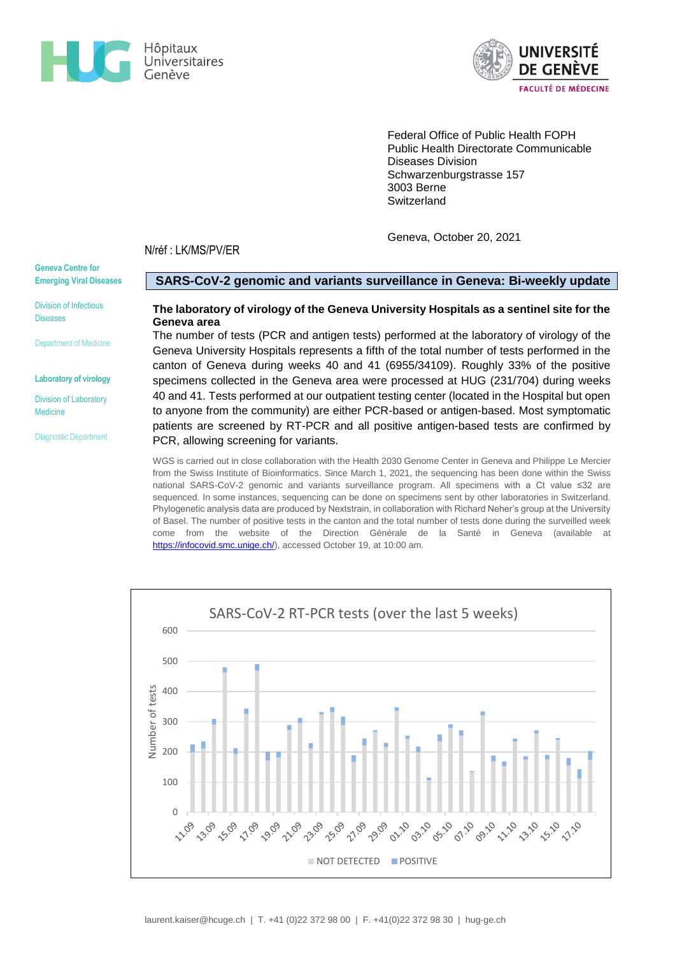



Federal Office of Public Health FOPH Public Health Directorate Communicable Diseases Division Schwarzenburgstrasse 157 3003 Berne **Switzerland** 

Geneva, October 20, 2021

N/réf : LK/MS/PV/ER

**Geneva Centre for Emerging Viral Diseases**

Division of Infectious Diseases

Department of Medicine

**Laboratory of virology**

Division of Laboratory Medicine

Diagnostic Department

### **SARS-CoV-2 genomic and variants surveillance in Geneva: Bi-weekly update**

# **The laboratory of virology of the Geneva University Hospitals as a sentinel site for the Geneva area**

The number of tests (PCR and antigen tests) performed at the laboratory of virology of the Geneva University Hospitals represents a fifth of the total number of tests performed in the canton of Geneva during weeks 40 and 41 (6955/34109). Roughly 33% of the positive specimens collected in the Geneva area were processed at HUG (231/704) during weeks 40 and 41. Tests performed at our outpatient testing center (located in the Hospital but open to anyone from the community) are either PCR-based or antigen-based. Most symptomatic patients are screened by RT-PCR and all positive antigen-based tests are confirmed by PCR, allowing screening for variants.

WGS is carried out in close collaboration with the Health 2030 Genome Center in Geneva and Philippe Le Mercier from the Swiss Institute of Bioinformatics. Since March 1, 2021, the sequencing has been done within the Swiss national SARS-CoV-2 genomic and variants surveillance program. All specimens with a Ct value ≤32 are sequenced. In some instances, sequencing can be done on specimens sent by other laboratories in Switzerland. Phylogenetic analysis data are produced by Nextstrain, in collaboration with Richard Neher's group at the University of Basel. The number of positive tests in the canton and the total number of tests done during the surveilled week come from the website of the Direction Générale de la Santé in Geneva (available at [https://infocovid.smc.unige.ch/\)](https://infocovid.smc.unige.ch/), accessed October 19, at 10:00 am.

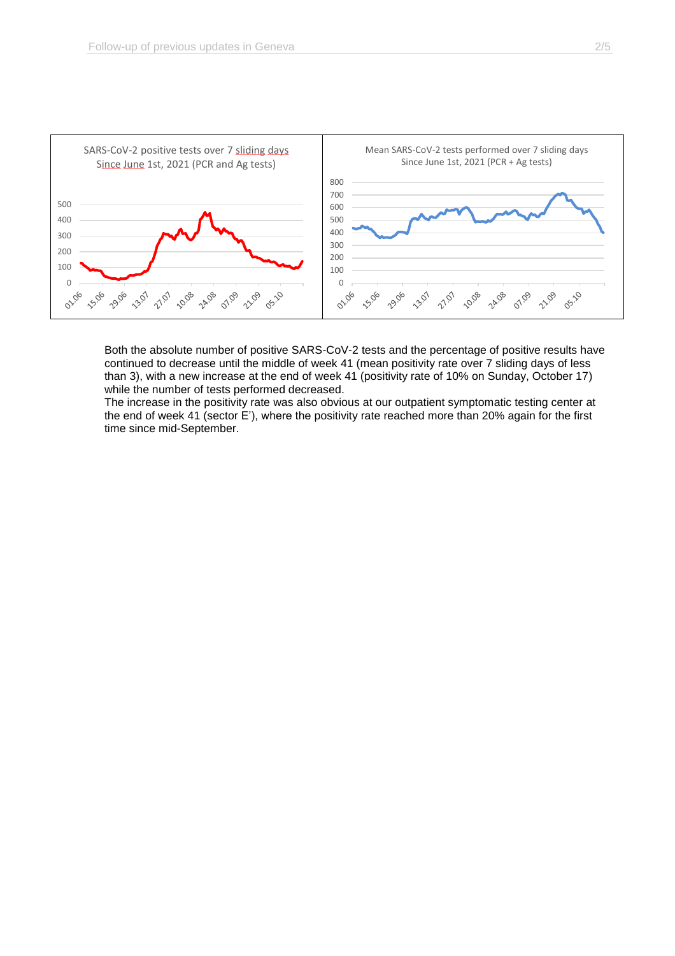

Both the absolute number of positive SARS-CoV-2 tests and the percentage of positive results have continued to decrease until the middle of week 41 (mean positivity rate over 7 sliding days of less than 3), with a new increase at the end of week 41 (positivity rate of 10% on Sunday, October 17) while the number of tests performed decreased.

The increase in the positivity rate was also obvious at our outpatient symptomatic testing center at the end of week 41 (sector E'), where the positivity rate reached more than 20% again for the first time since mid-September.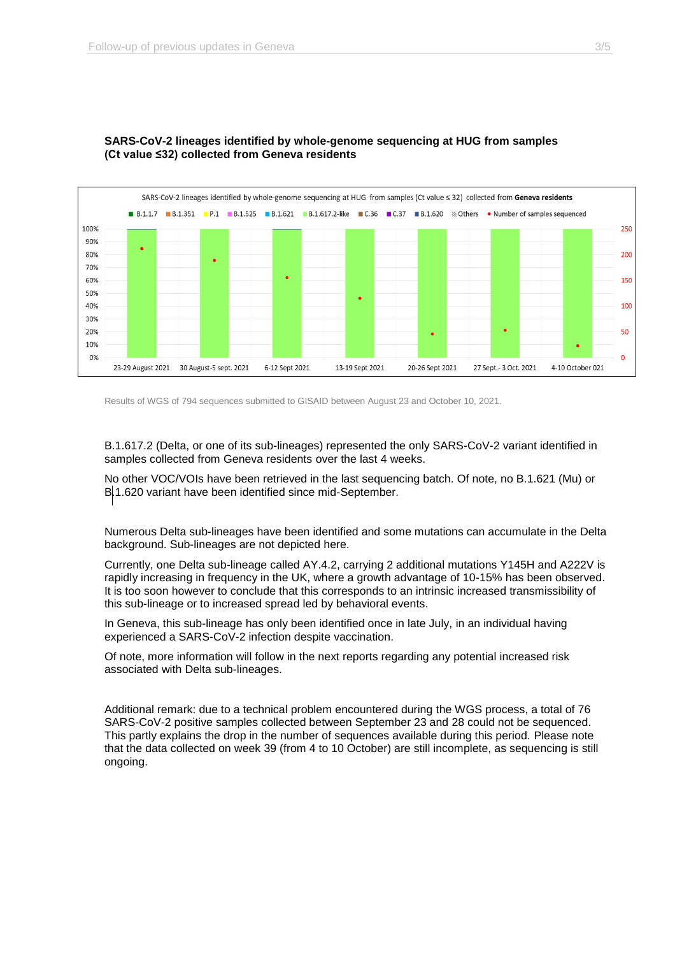

# **SARS-CoV-2 lineages identified by whole-genome sequencing at HUG from samples (Ct value ≤32) collected from Geneva residents**

Results of WGS of 794 sequences submitted to GISAID between August 23 and October 10, 2021.

B.1.617.2 (Delta, or one of its sub-lineages) represented the only SARS-CoV-2 variant identified in samples collected from Geneva residents over the last 4 weeks.

No other VOC/VOIs have been retrieved in the last sequencing batch. Of note, no B.1.621 (Mu) or B.1.620 variant have been identified since mid-September.

Numerous Delta sub-lineages have been identified and some mutations can accumulate in the Delta background. Sub-lineages are not depicted here.

Currently, one Delta sub-lineage called AY.4.2, carrying 2 additional mutations Y145H and A222V is rapidly increasing in frequency in the UK, where a growth advantage of 10-15% has been observed. It is too soon however to conclude that this corresponds to an intrinsic increased transmissibility of this sub-lineage or to increased spread led by behavioral events.

In Geneva, this sub-lineage has only been identified once in late July, in an individual having experienced a SARS-CoV-2 infection despite vaccination.

Of note, more information will follow in the next reports regarding any potential increased risk associated with Delta sub-lineages.

Additional remark: due to a technical problem encountered during the WGS process, a total of 76 SARS-CoV-2 positive samples collected between September 23 and 28 could not be sequenced. This partly explains the drop in the number of sequences available during this period. Please note that the data collected on week 39 (from 4 to 10 October) are still incomplete, as sequencing is still ongoing.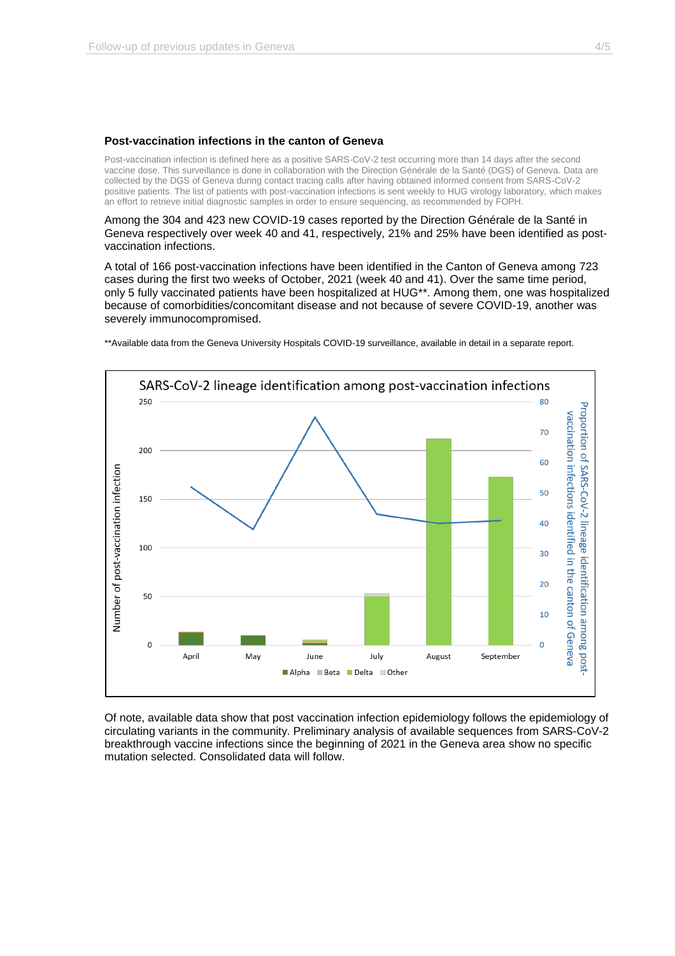#### **Post-vaccination infections in the canton of Geneva**

Post-vaccination infection is defined here as a positive SARS-CoV-2 test occurring more than 14 days after the second vaccine dose. This surveillance is done in collaboration with the Direction Générale de la Santé (DGS) of Geneva. Data are collected by the DGS of Geneva during contact tracing calls after having obtained informed consent from SARS-CoV-2 positive patients. The list of patients with post-vaccination infections is sent weekly to HUG virology laboratory, which makes an effort to retrieve initial diagnostic samples in order to ensure sequencing, as recommended by FOPH.

Among the 304 and 423 new COVID-19 cases reported by the Direction Générale de la Santé in Geneva respectively over week 40 and 41, respectively, 21% and 25% have been identified as postvaccination infections.

A total of 166 post-vaccination infections have been identified in the Canton of Geneva among 723 cases during the first two weeks of October, 2021 (week 40 and 41). Over the same time period, only 5 fully vaccinated patients have been hospitalized at HUG\*\*. Among them, one was hospitalized because of comorbidities/concomitant disease and not because of severe COVID-19, another was severely immunocompromised.





Of note, available data show that post vaccination infection epidemiology follows the epidemiology of circulating variants in the community. Preliminary analysis of available sequences from SARS-CoV-2 breakthrough vaccine infections since the beginning of 2021 in the Geneva area show no specific mutation selected. Consolidated data will follow.